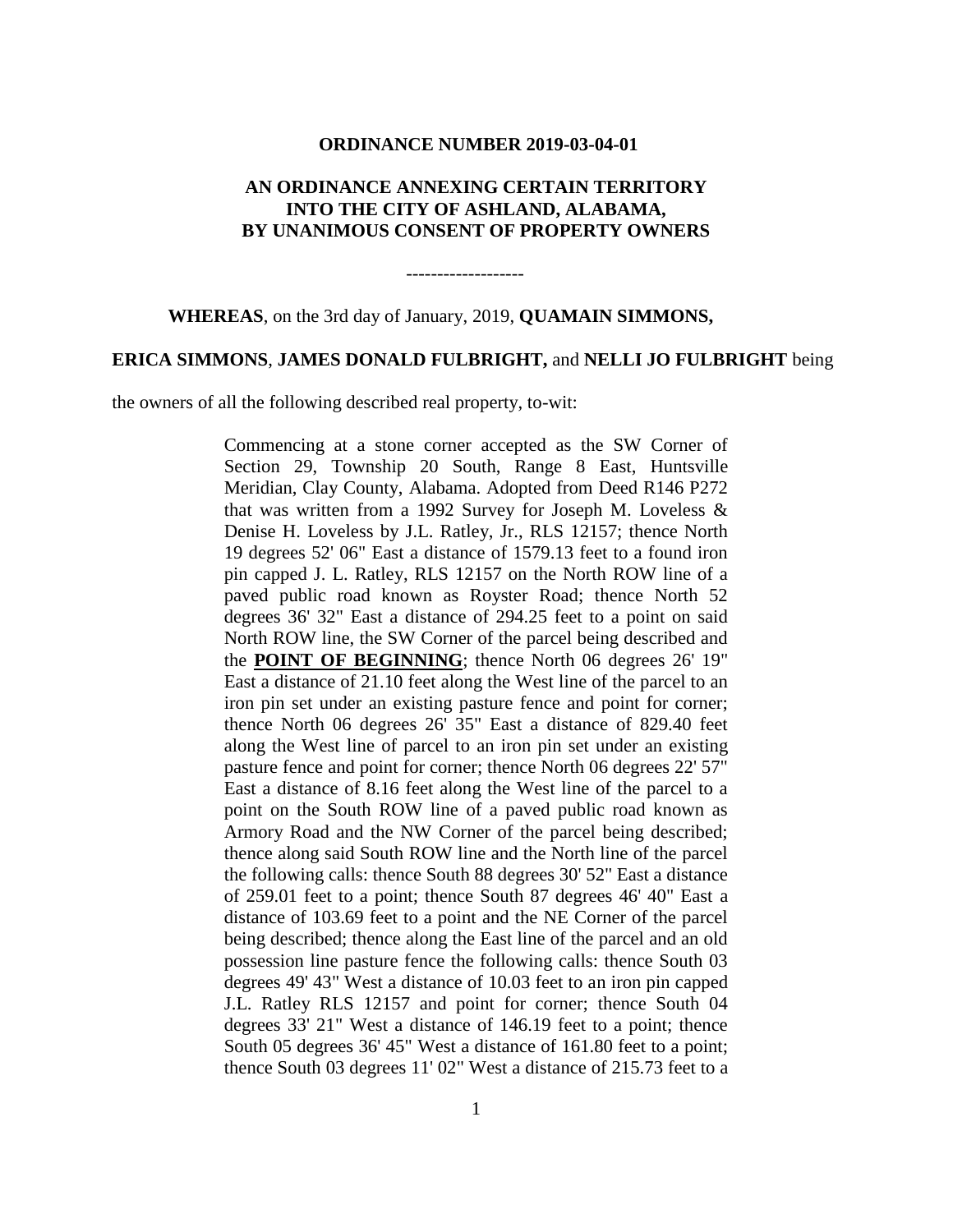#### **ORDINANCE NUMBER 2019-03-04-01**

# **AN ORDINANCE ANNEXING CERTAIN TERRITORY INTO THE CITY OF ASHLAND, ALABAMA, BY UNANIMOUS CONSENT OF PROPERTY OWNERS**

-------------------

**WHEREAS**, on the 3rd day of January, 2019, **QUAMAIN SIMMONS,**

### **ERICA SIMMONS**, **JAMES DONALD FULBRIGHT,** and **NELLI JO FULBRIGHT** being

the owners of all the following described real property, to-wit:

Commencing at a stone corner accepted as the SW Corner of Section 29, Township 20 South, Range 8 East, Huntsville Meridian, Clay County, Alabama. Adopted from Deed R146 P272 that was written from a 1992 Survey for Joseph M. Loveless & Denise H. Loveless by J.L. Ratley, Jr., RLS 12157; thence North 19 degrees 52' 06" East a distance of 1579.13 feet to a found iron pin capped J. L. Ratley, RLS 12157 on the North ROW line of a paved public road known as Royster Road; thence North 52 degrees 36' 32" East a distance of 294.25 feet to a point on said North ROW line, the SW Corner of the parcel being described and the **POINT OF BEGINNING**; thence North 06 degrees 26' 19" East a distance of 21.10 feet along the West line of the parcel to an iron pin set under an existing pasture fence and point for corner; thence North 06 degrees 26' 35" East a distance of 829.40 feet along the West line of parcel to an iron pin set under an existing pasture fence and point for corner; thence North 06 degrees 22' 57" East a distance of 8.16 feet along the West line of the parcel to a point on the South ROW line of a paved public road known as Armory Road and the NW Corner of the parcel being described; thence along said South ROW line and the North line of the parcel the following calls: thence South 88 degrees 30' 52" East a distance of 259.01 feet to a point; thence South 87 degrees 46' 40" East a distance of 103.69 feet to a point and the NE Corner of the parcel being described; thence along the East line of the parcel and an old possession line pasture fence the following calls: thence South 03 degrees 49' 43" West a distance of 10.03 feet to an iron pin capped J.L. Ratley RLS 12157 and point for corner; thence South 04 degrees 33' 21" West a distance of 146.19 feet to a point; thence South 05 degrees 36' 45" West a distance of 161.80 feet to a point; thence South 03 degrees 11' 02" West a distance of 215.73 feet to a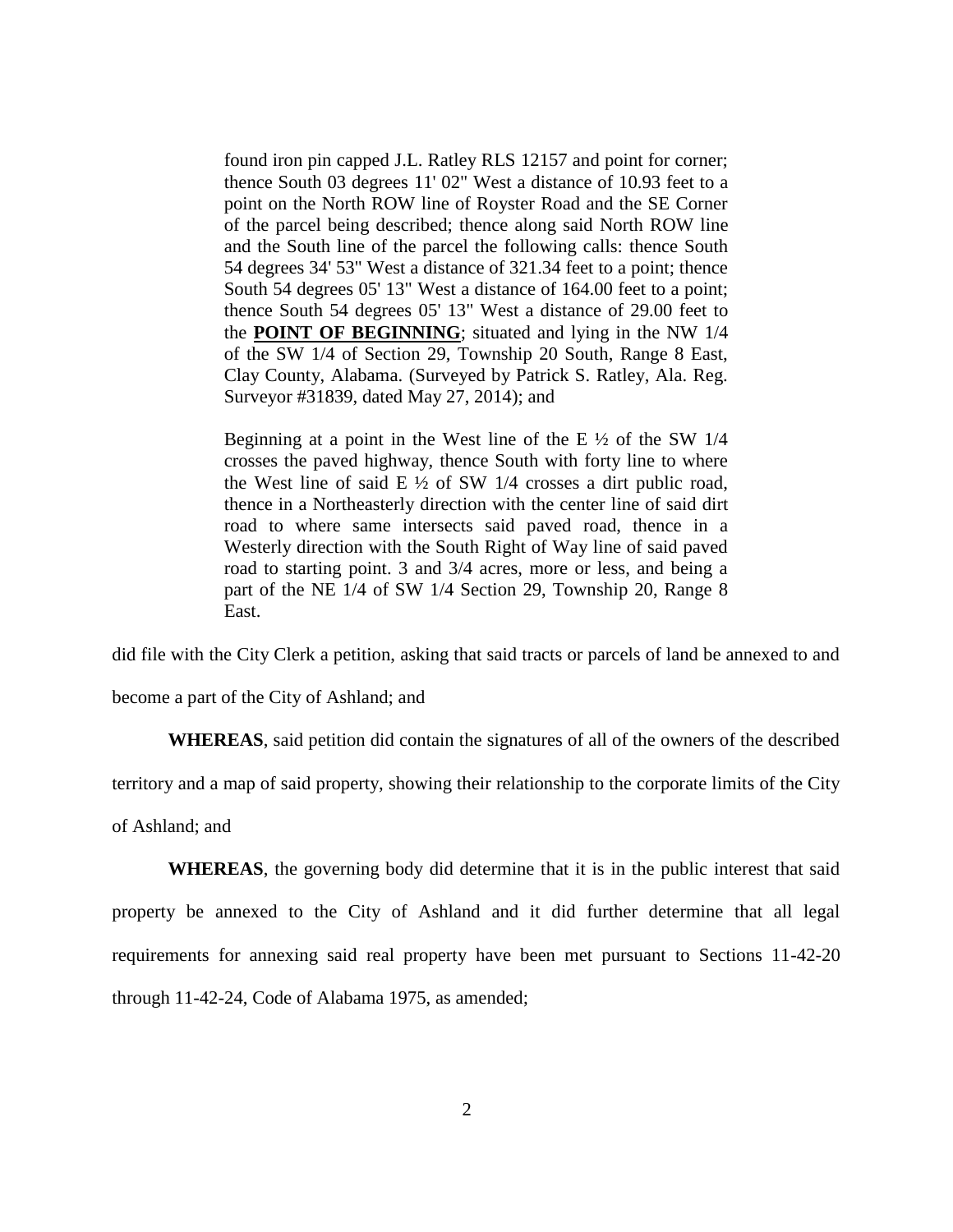found iron pin capped J.L. Ratley RLS 12157 and point for corner; thence South 03 degrees 11' 02" West a distance of 10.93 feet to a point on the North ROW line of Royster Road and the SE Corner of the parcel being described; thence along said North ROW line and the South line of the parcel the following calls: thence South 54 degrees 34' 53" West a distance of 321.34 feet to a point; thence South 54 degrees 05' 13" West a distance of 164.00 feet to a point; thence South 54 degrees 05' 13" West a distance of 29.00 feet to the **POINT OF BEGINNING**; situated and lying in the NW 1/4 of the SW 1/4 of Section 29, Township 20 South, Range 8 East, Clay County, Alabama. (Surveyed by Patrick S. Ratley, Ala. Reg. Surveyor #31839, dated May 27, 2014); and

Beginning at a point in the West line of the E  $\frac{1}{2}$  of the SW 1/4 crosses the paved highway, thence South with forty line to where the West line of said  $E \frac{1}{2}$  of SW 1/4 crosses a dirt public road, thence in a Northeasterly direction with the center line of said dirt road to where same intersects said paved road, thence in a Westerly direction with the South Right of Way line of said paved road to starting point. 3 and 3/4 acres, more or less, and being a part of the NE 1/4 of SW 1/4 Section 29, Township 20, Range 8 East.

did file with the City Clerk a petition, asking that said tracts or parcels of land be annexed to and become a part of the City of Ashland; and

**WHEREAS**, said petition did contain the signatures of all of the owners of the described territory and a map of said property, showing their relationship to the corporate limits of the City

of Ashland; and

**WHEREAS**, the governing body did determine that it is in the public interest that said property be annexed to the City of Ashland and it did further determine that all legal requirements for annexing said real property have been met pursuant to Sections 11-42-20 through 11-42-24, Code of Alabama 1975, as amended;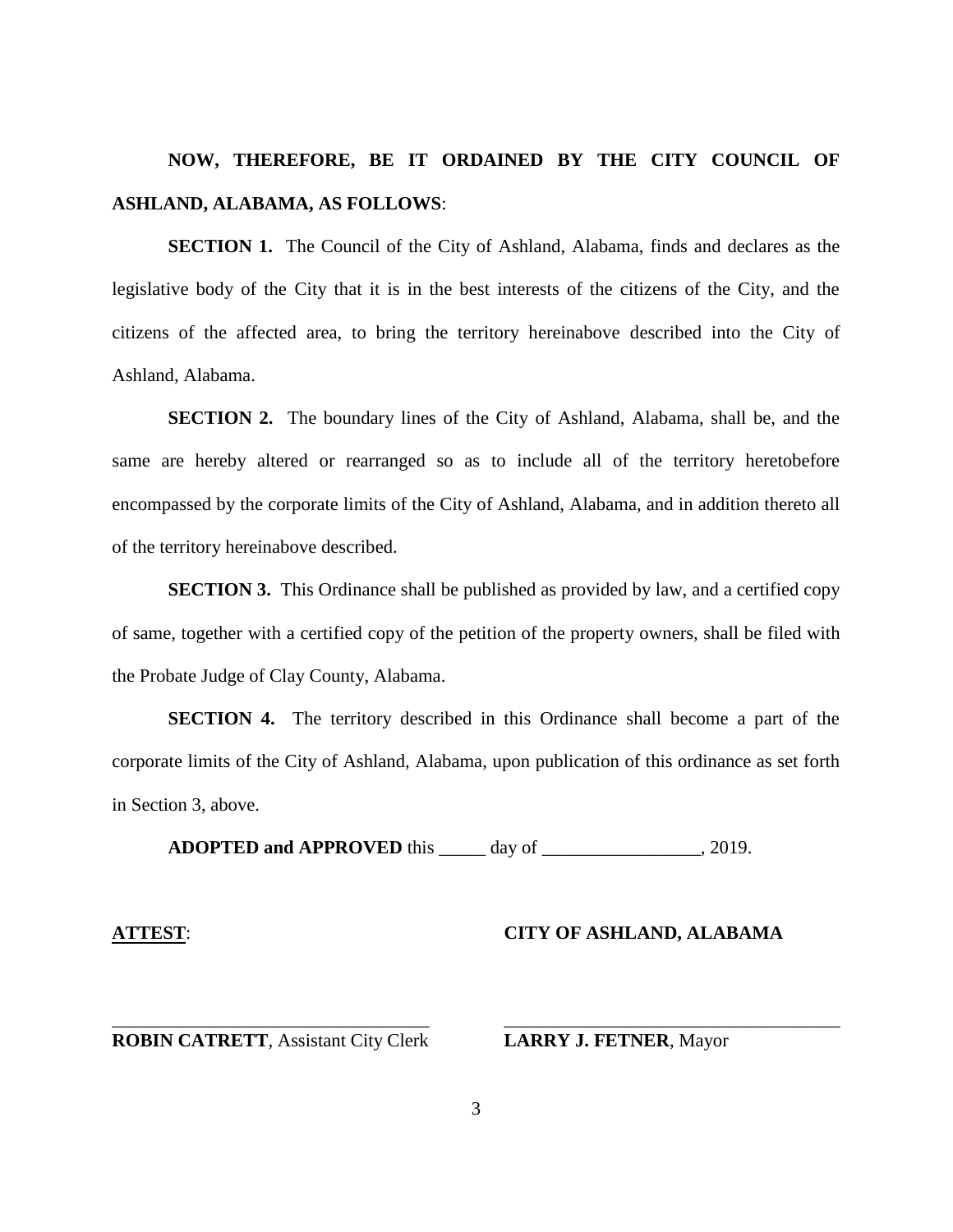# **NOW, THEREFORE, BE IT ORDAINED BY THE CITY COUNCIL OF ASHLAND, ALABAMA, AS FOLLOWS**:

**SECTION 1.** The Council of the City of Ashland, Alabama, finds and declares as the legislative body of the City that it is in the best interests of the citizens of the City, and the citizens of the affected area, to bring the territory hereinabove described into the City of Ashland, Alabama.

**SECTION 2.** The boundary lines of the City of Ashland, Alabama, shall be, and the same are hereby altered or rearranged so as to include all of the territory heretobefore encompassed by the corporate limits of the City of Ashland, Alabama, and in addition thereto all of the territory hereinabove described.

**SECTION 3.** This Ordinance shall be published as provided by law, and a certified copy of same, together with a certified copy of the petition of the property owners, shall be filed with the Probate Judge of Clay County, Alabama.

**SECTION 4.** The territory described in this Ordinance shall become a part of the corporate limits of the City of Ashland, Alabama, upon publication of this ordinance as set forth in Section 3, above.

**ADOPTED and APPROVED** this \_\_\_\_\_ day of \_\_\_\_\_\_\_\_\_\_\_\_\_\_\_\_\_, 2019.

### **ATTEST**: **CITY OF ASHLAND, ALABAMA**

#### **ROBIN CATRETT**, Assistant City Clerk **LARRY J. FETNER**, Mayor

\_\_\_\_\_\_\_\_\_\_\_\_\_\_\_\_\_\_\_\_\_\_\_\_\_\_\_\_\_\_\_\_\_\_ \_\_\_\_\_\_\_\_\_\_\_\_\_\_\_\_\_\_\_\_\_\_\_\_\_\_\_\_\_\_\_\_\_\_\_\_